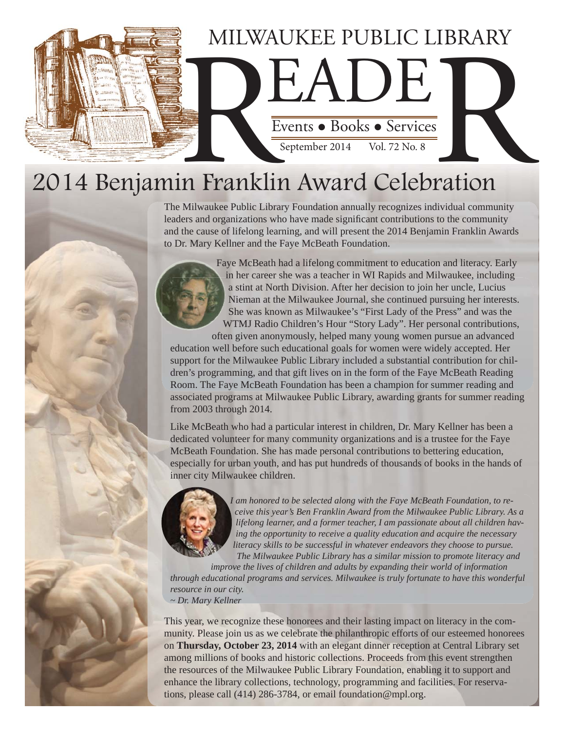

# 2014 Benjamin Franklin Award Celebration

The Milwaukee Public Library Foundation annually recognizes individual community leaders and organizations who have made significant contributions to the community and the cause of lifelong learning, and will present the 2014 Benjamin Franklin Awards to Dr. Mary Kellner and the Faye McBeath Foundation.



Faye McBeath had a lifelong commitment to education and literacy. Early in her career she was a teacher in WI Rapids and Milwaukee, including a stint at North Division. After her decision to join her uncle, Lucius Nieman at the Milwaukee Journal, she continued pursuing her interests. She was known as Milwaukee's "First Lady of the Press" and was the WTMJ Radio Children's Hour "Story Lady". Her personal contributions,

often given anonymously, helped many young women pursue an advanced education well before such educational goals for women were widely accepted. Her support for the Milwaukee Public Library included a substantial contribution for children's programming, and that gift lives on in the form of the Faye McBeath Reading Room. The Faye McBeath Foundation has been a champion for summer reading and associated programs at Milwaukee Public Library, awarding grants for summer reading from 2003 through 2014.

Like McBeath who had a particular interest in children, Dr. Mary Kellner has been a dedicated volunteer for many community organizations and is a trustee for the Faye McBeath Foundation. She has made personal contributions to bettering education, especially for urban youth, and has put hundreds of thousands of books in the hands of inner city Milwaukee children.



*I am honored to be selected along with the Faye McBeath Foundation, to receive this year's Ben Franklin Award from the Milwaukee Public Library. As a lifelong learner, and a former teacher, I am passionate about all children having the opportunity to receive a quality education and acquire the necessary literacy skills to be successful in whatever endeavors they choose to pursue. The Milwaukee Public Library has a similar mission to promote literacy and* 

*improve the lives of children and adults by expanding their world of information through educational programs and services. Milwaukee is truly fortunate to have this wonderful resource in our city. ~ Dr. Mary Kellner*

This year, we recognize these honorees and their lasting impact on literacy in the community. Please join us as we celebrate the philanthropic efforts of our esteemed honorees on **Thursday, October 23, 2014** with an elegant dinner reception at Central Library set among millions of books and historic collections. Proceeds from this event strengthen the resources of the Milwaukee Public Library Foundation, enabling it to support and enhance the library collections, technology, programming and facilities. For reservations, please call (414) 286-3784, or email foundation@mpl.org.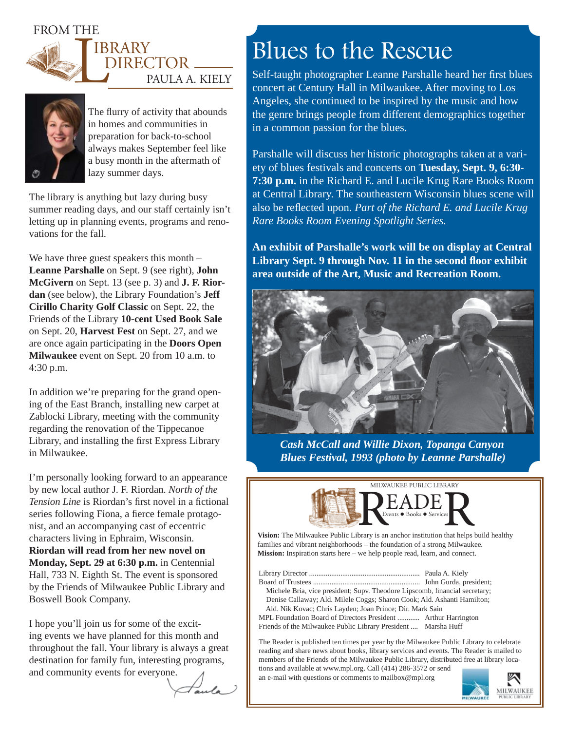FROM THE







The flurry of activity that abounds in homes and communities in preparation for back-to-school always makes September feel like a busy month in the aftermath of lazy summer days.

The library is anything but lazy during busy summer reading days, and our staff certainly isn't letting up in planning events, programs and renovations for the fall.

We have three guest speakers this month – **Leanne Parshalle** on Sept. 9 (see right), **John McGivern** on Sept. 13 (see p. 3) and **J. F. Riordan** (see below), the Library Foundation's **Jeff Cirillo Charity Golf Classic** on Sept. 22, the Friends of the Library **10-cent Used Book Sale**  on Sept. 20, **Harvest Fest** on Sept. 27, and we are once again participating in the **Doors Open Milwaukee** event on Sept. 20 from 10 a.m. to 4:30 p.m.

In addition we're preparing for the grand opening of the East Branch, installing new carpet at Zablocki Library, meeting with the community regarding the renovation of the Tippecanoe Library, and installing the first Express Library in Milwaukee.

I'm personally looking forward to an appearance by new local author J. F. Riordan. *North of the Tension Line* is Riordan's first novel in a fictional series following Fiona, a fierce female protagonist, and an accompanying cast of eccentric characters living in Ephraim, Wisconsin. **Riordan will read from her new novel on Monday, Sept. 29 at 6:30 p.m.** in Centennial Hall, 733 N. Eighth St. The event is sponsored by the Friends of Milwaukee Public Library and Boswell Book Company.

I hope you'll join us for some of the exciting events we have planned for this month and throughout the fall. Your library is always a great destination for family fun, interesting programs, and community events for everyone.

aula

## Blues to the Rescue

Self-taught photographer Leanne Parshalle heard her first blues concert at Century Hall in Milwaukee. After moving to Los Angeles, she continued to be inspired by the music and how the genre brings people from different demographics together in a common passion for the blues.

Parshalle will discuss her historic photographs taken at a variety of blues festivals and concerts on **Tuesday, Sept. 9, 6:30- 7:30 p.m.** in the Richard E. and Lucile Krug Rare Books Room at Central Library. The southeastern Wisconsin blues scene will also be reflected upon. Part of the Richard E. and Lucile Krug *Rare Books Room Evening Spotlight Series.*

**An exhibit of Parshalle's work will be on display at Central**  Library Sept. 9 through Nov. 11 in the second floor exhibit **area outside of the Art, Music and Recreation Room.**



*Cash McCall and Willie Dixon, Topanga Canyon Blues Festival, 1993 (photo by Leanne Parshalle)*



**Vision:** The Milwaukee Public Library is an anchor institution that helps build healthy families and vibrant neighborhoods – the foundation of a strong Milwaukee. **Mission:** Inspiration starts here – we help people read, learn, and connect.

Library Director ............................................................ Paula A. Kiely Board of Trustees .......................................................... John Gurda, president; Michele Bria, vice president; Supv. Theodore Lipscomb, financial secretary; Denise Callaway; Ald. Milele Coggs; Sharon Cook; Ald. Ashanti Hamilton; Ald. Nik Kovac; Chris Layden; Joan Prince; Dir. Mark Sain MPL Foundation Board of Directors President ............ Arthur Harrington Friends of the Milwaukee Public Library President .... Marsha Huff

The Reader is published ten times per year by the Milwaukee Public Library to celebrate reading and share news about books, library services and events. The Reader is mailed to members of the Friends of the Milwaukee Public Library, distributed free at library locations and available at www.mpl.org. Call (414) 286-3572 or send

an e-mail with questions or comments to mailbox@mpl.org

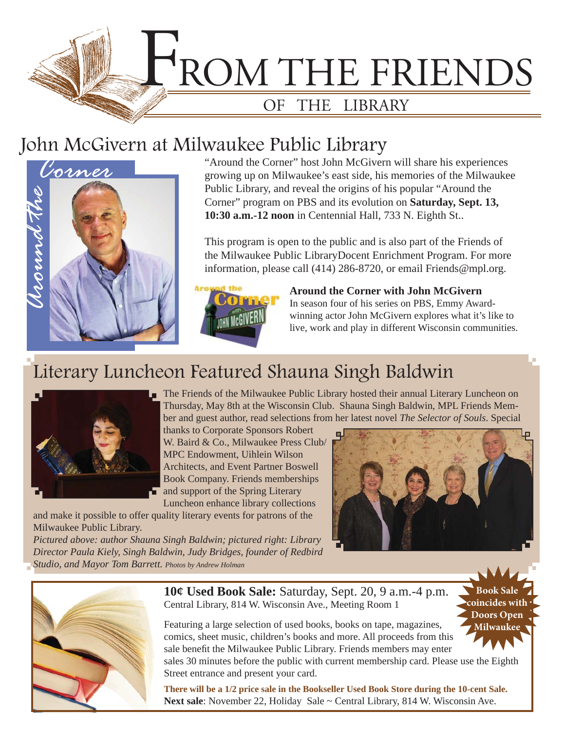

### John McGivern at Milwaukee Public Library



"Around the Corner" host John McGivern will share his experiences growing up on Milwaukee's east side, his memories of the Milwaukee Public Library, and reveal the origins of his popular "Around the Corner" program on PBS and its evolution on **Saturday, Sept. 13, 10:30 a.m.-12 noon** in Centennial Hall, 733 N. Eighth St..

This program is open to the public and is also part of the Friends of the Milwaukee Public LibraryDocent Enrichment Program. For more information, please call (414) 286-8720, or email Friends@mpl.org.



**Around the Corner with John McGivern** In season four of his series on PBS, Emmy Awardwinning actor John McGivern explores what it's like to live, work and play in different Wisconsin communities.

## Literary Luncheon Featured Shauna Singh Baldwin



The Friends of the Milwaukee Public Library hosted their annual Literary Luncheon on Thursday, May 8th at the Wisconsin Club. Shauna Singh Baldwin, MPL Friends Member and guest author, read selections from her latest novel *The Selector of Souls*. Special

thanks to Corporate Sponsors Robert W. Baird & Co., Milwaukee Press Club/ MPC Endowment, Uihlein Wilson Architects, and Event Partner Boswell Book Company. Friends memberships and support of the Spring Literary

Luncheon enhance library collections and make it possible to offer quality literary events for patrons of the Milwaukee Public Library.

*Pictured above: author Shauna Singh Baldwin; pictured right: Library Director Paula Kiely, Singh Baldwin, Judy Bridges, founder of Redbird Studio, and Mayor Tom Barrett. Photos by Andrew Holman*



**Book Sale coincides with Doors Open Milwaukee**



**10¢ Used Book Sale:** Saturday, Sept. 20, 9 a.m.-4 p.m. Central Library, 814 W. Wisconsin Ave., Meeting Room 1

Featuring a large selection of used books, books on tape, magazines, comics, sheet music, children's books and more. All proceeds from this sale benefit the Milwaukee Public Library. Friends members may enter

sales 30 minutes before the public with current membership card. Please use the Eighth Street entrance and present your card.

**There will be a 1/2 price sale in the Bookseller Used Book Store during the 10-cent Sale.** Next sale: November 22, Holiday Sale ~ Central Library, 814 W. Wisconsin Ave.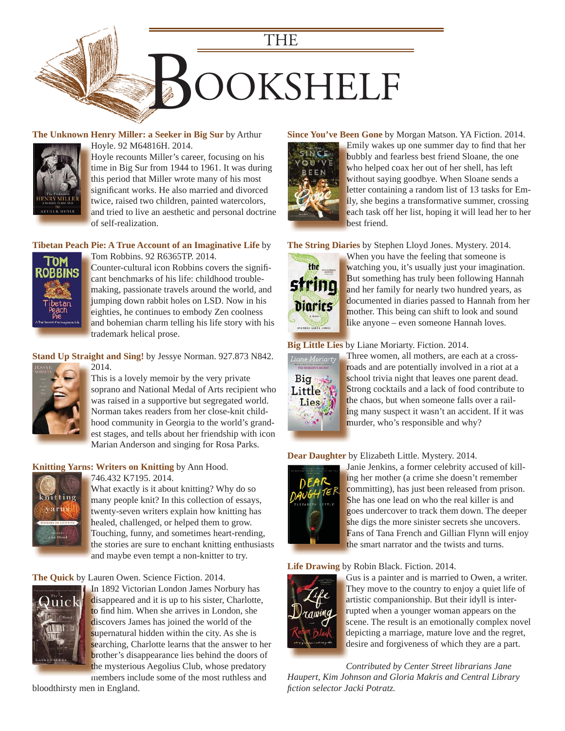

#### **[The Unknown Henry Miller: a Seeker in Big Sur](https://encore.mcfls.org/iii/encore/record/C__Rb3750699)** by Arthur



Hoyle. 92 M64816H. 2014. H Hoyle recounts Miller's career, focusing on his H time in Big Sur from 1944 to 1961. It was during this period that Miller wrote many of his most significant works. He also married and divorced twice, raised two children, painted watercolors, and tried to live an aesthetic and personal doctrine a of self-realization. o

#### **[Tibetan Peach Pie: A True Account of an Imaginative Life](https://encore.mcfls.org/iii/encore/record/C__Rb3738716)** by



Tom Robbins. 92 R6365TP. 2014. T Counter-cultural icon Robbins covers the significant benchmarks of his life: childhood troublemaking, passionate travels around the world, and m jumping down rabbit holes on LSD. Now in his j eighties, he continues to embody Zen coolness e and bohemian charm telling his life story with his a trademark helical prose. t

#### **Stand Up Straight and Sing!** by Jessye Norman. 927.873 N842.



This is a lovely memoir by the very private [soprano and National Medal of Arts recipient who](https://encore.mcfls.org/iii/encore/record/C__Rb3738717)  was raised in a supportive but segregated world. Norman takes readers from her close-knit child-N hood community in Georgia to the world's grandest stages, and tells about her friendship with icon Marian Anderson and singing for Rosa Parks.

#### **Knitting Yarns: Writers on Knitting** by Ann Hood.

2014.



746.432 K7195. 2014. 7

What exactly is it about knitting? Why do so W many people knit? In this collection of essays, m twenty-seven writers explain how knitting has healed, challenged, or helped them to grow. h Touching, funny, and sometimes heart-rending, T the stories are sure to enchant knitting enthusiasts and maybe even tempt a non-knitter to try. a

#### **The Quick** by Lauren Owen. Science Fiction. 2014.



In 1892 Victorian London James Norbury has In disappeared and it is up to his sister, Charlotte, to find him. When she arrives in London, she discovers James has joined the world of the supernatural hidden within the city. As she is searching, Charlotte learns that the answer to her brother's disappearance lies behind the doors of the mysterious Aegolius Club, whose predatory

members include some of the most ruthless and bloodthirsty men in England.

#### **Since You've Been Gone** by Morgan Matson. YA Fiction. 2014.



Emily wakes up one summer day to find that her bubbly and fearless best friend Sloane, the one who helped coax her out of her shell, has left without saying goodbye. When Sloane sends a letter containing a random list of 13 tasks for Emily, she begins a transformative summer, crossing each task off her list, hoping it will lead her to her best friend. b

**The String Diaries** by Stephen Lloyd Jones. Mystery. 2014.



When you have the feeling that someone is W watching you, it's usually just your imagination. But something has truly been following Hannah B and her family for nearly two hundred years, as documented in diaries passed to Hannah from her mother. This being can shift to look and sound like anyone – even someone Hannah loves.

#### **Big Little Lies** by Liane Moriarty. Fiction. 2014. **Big Little Lies** b



Three women, all mothers, are each at a cross-T roads and are potentially involved in a riot at a school trivia night that leaves one parent dead. [Strong cocktails and a lack of food contribute to](https://encore.mcfls.org/iii/encore/record/C__Rb3754242)  S the chaos, but when someone falls over a railing many suspect it wasn't an accident. If it was murder, who's responsible and why?

#### **Dear Daughter** by Elizabeth Little. Mystery. 2014.



Janie Jenkins, a former celebrity accused of kill-Ja ing her mother (a crime she doesn't remember committing), has just been released from prison. She has one lead on who the real killer is and goes undercover to track them down. The deeper g she digs the more sinister secrets she uncovers. [Fans of Tana French and Gillian Flynn will enjoy](https://encore.mcfls.org/iii/encore/record/C__Rb3750498)  F the smart narrator and the twists and turns.

#### **Life Drawing** by Robin Black. Fiction. 2014.



Gus is a painter and is married to Owen, a writer. G They move to the country to enjoy a quiet life of artistic companionship. But their idyll is inter-a rupted when a younger woman appears on the scene. The result is an emotionally complex novel depicting a marriage, mature love and the regret, d desire and forgiveness of which they are a part.

*Contributed by Center Street librarians Jane [Haupert, Kim Johnson and Gloria Makris and Central Library](https://encore.mcfls.org/iii/encore/record/C__Rb3762094)  fi ction selector Jacki Potratz.*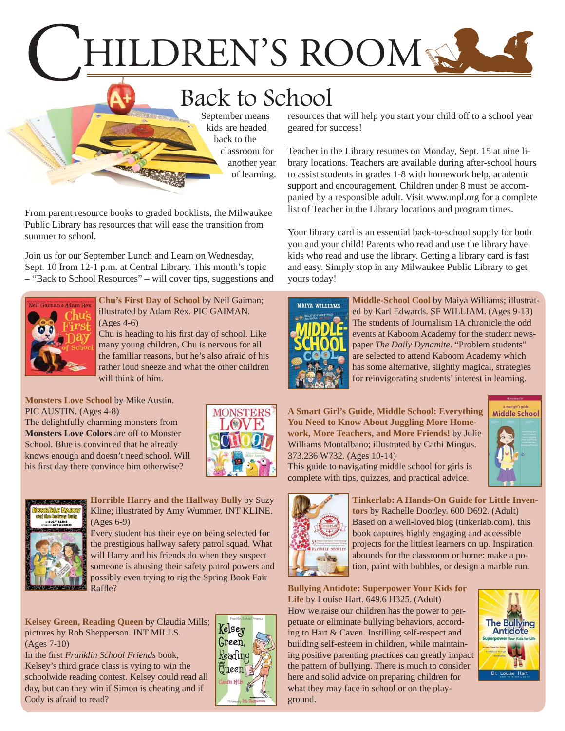# HILDREN'S ROOM

## Back to School

September means kids are headed back to the classroom for another year of learning.

From parent resource books to graded booklists, the Milwaukee Public Library has resources that will ease the transition from summer to school.

Join us for our September Lunch and Learn on Wednesday, Sept. 10 from 12-1 p.m. at Central Library. This month's topic – "Back to School Resources" – will cover tips, suggestions and



**Chu's First Day of School** by Neil Gaiman; illustrated by Adam Rex. PIC GAIMAN. (Ages 4-6)

Chu is heading to his first day of school. Like many young children, Chu is nervous for all [the familiar reasons, but he's also afraid of his](https://encore.mcfls.org/iii/encore/record/C__Rb3742667)  rather loud sneeze and what the other children will think of him.

**Monsters Love School** by Mike Austin. PIC AUSTIN. (Ages 4-8)

The delightfully charming monsters from **Monsters Love Colors** are off to Monster School. Blue is convinced that he already k[nows enough and doesn't need school. Will](https://encore.mcfls.org/iii/encore/record/C__Rb3746048)  his first day there convince him otherwise?





**Horrible Harry and the Hallway Bully** by Suzy Kline; illustrated by Amy Wummer. INT KLINE. (Ages 6-9)

> Every student has their eye on being selected for the prestigious hallway safety patrol squad. What will Harry and his friends do when they suspect [someone is abusing their safety patrol powers and](https://encore.mcfls.org/iii/encore/record/C__Rb3737888)  possibly even trying to rig the Spring Book Fair Raffle?

**Kelsey Green, Reading Queen** by Claudia Mills; pictures by Rob Shepperson. INT MILLS. (Ages 7-10)

In the first *Franklin School Friends* book, Kelsey's third grade class is vying to win the [schoolwide reading contest. Kelsey could read all](https://encore.mcfls.org/iii/encore/record/C__Rb3676023)  day, but can they win if Simon is cheating and if Cody is afraid to read?



resources that will help you start your child off to a school year geared for success!

Teacher in the Library resumes on Monday, Sept. 15 at nine library locations. Teachers are available during after-school hours to assist students in grades 1-8 with homework help, academic support and encouragement. Children under 8 must be accompanied by a responsible adult. Visit www.mpl.org for a complete list of Teacher in the Library locations and program times.

Your library card is an essential back-to-school supply for both you and your child! Parents who read and use the library have kids who read and use the library. Getting a library card is fast and easy. Simply stop in any Milwaukee Public Library to get yours today!



**Middle-School Cool** by Maiya Williams; illustrated by Karl Edwards. SF WILLIAM. (Ages 9-13) The students of Journalism 1A chronicle the odd [events at Kaboom Academy for the student news](https://encore.mcfls.org/iii/encore/record/C__Rb3737755)paper *The Daily Dynamite*. "Problem students" are selected to attend Kaboom Academy which has some alternative, slightly magical, strategies for reinvigorating students' interest in learning.

**[A Smart Girl's Guide, Middle School: Everything](https://encore.mcfls.org/iii/encore/record/C__Rb3739523)  You Need to Know About Juggling More Homework, More Teachers, and More Friends!** by Julie Williams Montalbano; illustrated by Cathi Mingus. 373.236 W732. (Ages 10-14) This guide to navigating middle school for girls is

complete with tips, quizzes, and practical advice.





**[Tinkerlab: A Hands-On Guide for Little Inven](https://encore.mcfls.org/iii/encore/record/C__Rb3756645)tors** by Rachelle Doorley. 600 D692. (Adult) Based on a well-loved blog (tinkerlab.com), this book captures highly engaging and accessible projects for the littlest learners on up. Inspiration abounds for the classroom or home: make a potion, paint with bubbles, or design a marble run.

**Bullying Antidote: Superpower Your Kids for Life** by Louise Hart. 649.6 H325. (Adult) How we raise our children has the power to perpetuate or eliminate bullying behaviors, according to Hart & Caven. Instilling self-respect and building self-esteem in children, while maintain[ing positive parenting practices can greatly impact](https://encore.mcfls.org/iii/encore/record/C__Rb3685944)  the pattern of bullying. There is much to consider here and solid advice on preparing children for what they may face in school or on the playground.